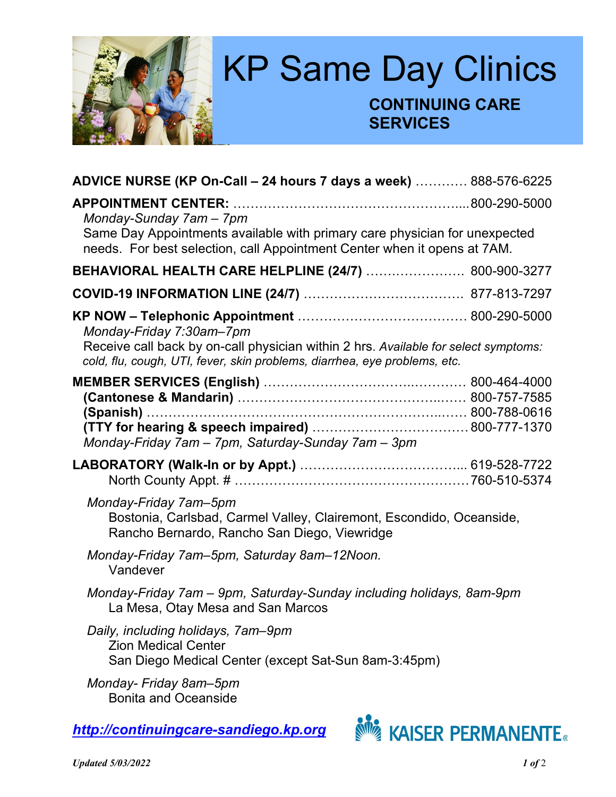

| ADVICE NURSE (KP On-Call - 24 hours 7 days a week)  888-576-6225                                                                                                 |  |
|------------------------------------------------------------------------------------------------------------------------------------------------------------------|--|
| Monday-Sunday 7am - 7pm                                                                                                                                          |  |
| Same Day Appointments available with primary care physician for unexpected<br>needs. For best selection, call Appointment Center when it opens at 7AM.           |  |
| BEHAVIORAL HEALTH CARE HELPLINE (24/7)  800-900-3277                                                                                                             |  |
|                                                                                                                                                                  |  |
| Monday-Friday 7:30am-7pm                                                                                                                                         |  |
| Receive call back by on-call physician within 2 hrs. Available for select symptoms:<br>cold, flu, cough, UTI, fever, skin problems, diarrhea, eye problems, etc. |  |
| $(Spanish)$<br>Monday-Friday 7am - 7pm, Saturday-Sunday 7am - 3pm                                                                                                |  |
|                                                                                                                                                                  |  |
| Monday-Friday 7am-5pm<br>Bostonia, Carlsbad, Carmel Valley, Clairemont, Escondido, Oceanside,<br>Rancho Bernardo, Rancho San Diego, Viewridge                    |  |
| Monday-Friday 7am–5pm, Saturday 8am–12Noon.<br>Vandever                                                                                                          |  |
| Monday-Friday 7am - 9pm, Saturday-Sunday including holidays, 8am-9pm<br>La Mesa, Otay Mesa and San Marcos                                                        |  |
| Daily, including holidays, 7am-9pm<br><b>Zion Medical Center</b><br>San Diego Medical Center (except Sat-Sun 8am-3:45pm)                                         |  |
| Monday- Friday 8am-5pm<br><b>Bonita and Oceanside</b>                                                                                                            |  |

*[http://continuingcare-sandiego.kp.org](http://continuingcare-sandiego.kp.org/)*